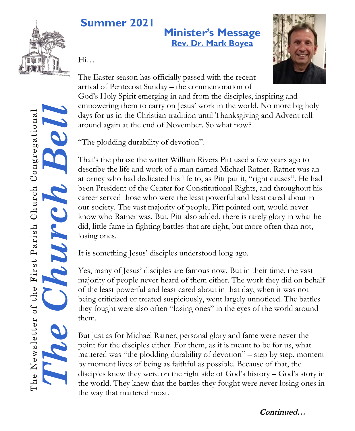

# **Summer 2021**

### **Minister's Message [Rev. Dr. Mark Boyea](mailto:mark.fpchurch@gmail.com)**

Hi…



The Easter season has officially passed with the recent arrival of Pentecost Sunday – the commemoration of

God's Holy Spirit emerging in and from the disciples, inspiring and empowering them to carry on Jesus' work in the world. No more big holy days for us in the Christian tradition until Thanksgiving and Advent roll around again at the end of November. So what now?

"The plodding durability of devotion".

That's the phrase the writer William Rivers Pitt used a few years ago to describe the life and work of a man named Michael Ratner. Ratner was an attorney who had dedicated his life to, as Pitt put it, "right causes". He had been President of the Center for Constitutional Rights, and throughout his career served those who were the least powerful and least cared about in our society. The vast majority of people, Pitt pointed out, would never know who Ratner was. But, Pitt also added, there is rarely glory in what he did, little fame in fighting battles that are right, but more often than not, losing ones.

It is something Jesus' disciples understood long ago.

Yes, many of Jesus' disciples are famous now. But in their time, the vast majority of people never heard of them either. The work they did on behalf of the least powerful and least cared about in that day, when it was not being criticized or treated suspiciously, went largely unnoticed. The battles they fought were also often "losing ones" in the eyes of the world around them.

But just as for Michael Ratner, personal glory and fame were never the point for the disciples either. For them, as it is meant to be for us, what mattered was "the plodding durability of devotion" – step by step, moment by moment lives of being as faithful as possible. Because of that, the disciples knew they were on the right side of God's history – God's story in the world. They knew that the battles they fought were never losing ones in the way that mattered most.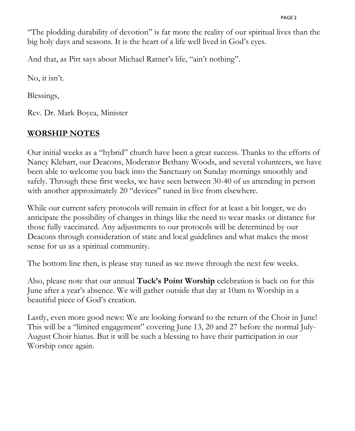"The plodding durability of devotion" is far more the reality of our spiritual lives than the big holy days and seasons. It is the heart of a life well lived in God's eyes.

And that, as Pitt says about Michael Ratner's life, "ain't nothing".

No, it isn't.

Blessings,

Rev. Dr. Mark Boyea, Minister

#### **WORSHIP NOTES**

Our initial weeks as a "hybrid" church have been a great success. Thanks to the efforts of Nancy Klebart, our Deacons, Moderator Bethany Woods, and several volunteers, we have been able to welcome you back into the Sanctuary on Sunday mornings smoothly and safely. Through these first weeks, we have seen between 30-40 of us attending in person with another approximately 20 "devices" tuned in live from elsewhere.

While our current safety protocols will remain in effect for at least a bit longer, we do anticipate the possibility of changes in things like the need to wear masks or distance for those fully vaccinated. Any adjustments to our protocols will be determined by our Deacons through consideration of state and local guidelines and what makes the most sense for us as a spiritual community.

The bottom line then, is please stay tuned as we move through the next few weeks.

Also, please note that our annual **Tuck's Point Worship** celebration is back on for this June after a year's absence. We will gather outside that day at 10am to Worship in a beautiful piece of God's creation.

Lastly, even more good news: We are looking forward to the return of the Choir in June! This will be a "limited engagement" covering June 13, 20 and 27 before the normal July-August Choir hiatus. But it will be such a blessing to have their participation in our Worship once again.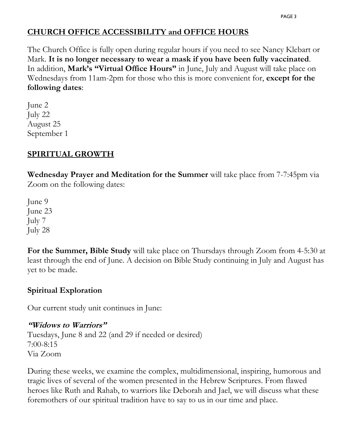#### **CHURCH OFFICE ACCESSIBILITY and OFFICE HOURS**

The Church Office is fully open during regular hours if you need to see Nancy Klebart or Mark. **It is no longer necessary to wear a mask if you have been fully vaccinated**. In addition, **Mark's "Virtual Office Hours"** in June, July and August will take place on Wednesdays from 11am-2pm for those who this is more convenient for, **except for the following dates**:

June 2 July 22 August 25 September 1

#### **SPIRITUAL GROWTH**

**Wednesday Prayer and Meditation for the Summer** will take place from 7-7:45pm via Zoom on the following dates:

June 9 June 23 July 7 July 28

**For the Summer, Bible Study** will take place on Thursdays through Zoom from 4-5:30 at least through the end of June. A decision on Bible Study continuing in July and August has yet to be made.

#### **Spiritual Exploration**

Our current study unit continues in June:

#### **"Widows to Warriors"**

Tuesdays, June 8 and 22 (and 29 if needed or desired) 7:00-8:15 Via Zoom

During these weeks, we examine the complex, multidimensional, inspiring, humorous and tragic lives of several of the women presented in the Hebrew Scriptures. From flawed heroes like Ruth and Rahab, to warriors like Deborah and Jael, we will discuss what these foremothers of our spiritual tradition have to say to us in our time and place.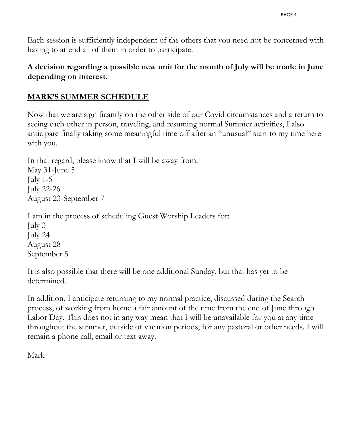Each session is sufficiently independent of the others that you need not be concerned with having to attend all of them in order to participate.

#### **A decision regarding a possible new unit for the month of July will be made in June depending on interest.**

#### **MARK'S SUMMER SCHEDULE**

Now that we are significantly on the other side of our Covid circumstances and a return to seeing each other in person, traveling, and resuming normal Summer activities, I also anticipate finally taking some meaningful time off after an "unusual" start to my time here with you.

In that regard, please know that I will be away from: May 31-June 5 July 1-5 July 22-26 August 23-September 7

I am in the process of scheduling Guest Worship Leaders for: July 3 July 24 August 28 September 5

It is also possible that there will be one additional Sunday, but that has yet to be determined.

In addition, I anticipate returning to my normal practice, discussed during the Search process, of working from home a fair amount of the time from the end of June through Labor Day. This does not in any way mean that I will be unavailable for you at any time throughout the summer, outside of vacation periods, for any pastoral or other needs. I will remain a phone call, email or text away.

Mark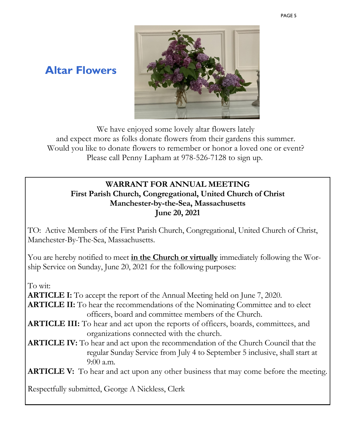

### **Altar Flowers**

We have enjoyed some lovely altar flowers lately and expect more as folks donate flowers from their gardens this summer. Would you like to donate flowers to remember or honor a loved one or event? Please call Penny Lapham at 978-526-7128 to sign up.

#### **WARRANT FOR ANNUAL MEETING First Parish Church, Congregational, United Church of Christ Manchester-by-the-Sea, Massachusetts June 20, 2021**

TO: Active Members of the First Parish Church, Congregational, United Church of Christ, Manchester-By-The-Sea, Massachusetts.

You are hereby notified to meet **in the Church or virtually** immediately following the Worship Service on Sunday, June 20, 2021 for the following purposes:

To wit:

**ARTICLE I:** To accept the report of the Annual Meeting held on June 7, 2020.

- **ARTICLE II:** To hear the recommendations of the Nominating Committee and to elect officers, board and committee members of the Church.
- **ARTICLE III:** To hear and act upon the reports of officers, boards, committees, and organizations connected with the church.
- **ARTICLE IV:** To hear and act upon the recommendation of the Church Council that the regular Sunday Service from July 4 to September 5 inclusive, shall start at 9:00 a.m.

**ARTICLE V:** To hear and act upon any other business that may come before the meeting.

Respectfully submitted, George A Nickless, Clerk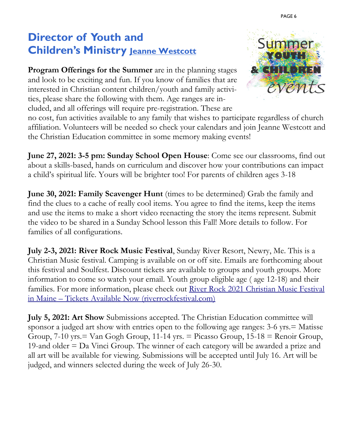### **Director of Youth and Children's Ministry [Jeanne Westcott](mailto:jeanne.fpchurch@gmail.com)**

**Program Offerings for the Summer** are in the planning stages and look to be exciting and fun. If you know of families that are interested in Christian content children/youth and family activities, please share the following with them. Age ranges are included, and all offerings will require pre-registration. These are



no cost, fun activities available to any family that wishes to participate regardless of church affiliation. Volunteers will be needed so check your calendars and join Jeanne Westcott and the Christian Education committee in some memory making events!

**June 27, 2021: 3-5 pm: Sunday School Open House**: Come see our classrooms, find out about a skills-based, hands on curriculum and discover how your contributions can impact a child's spiritual life. Yours will be brighter too! For parents of children ages 3-18

**June 30, 2021: Family Scavenger Hunt** (times to be determined) Grab the family and find the clues to a cache of really cool items. You agree to find the items, keep the items and use the items to make a short video reenacting the story the items represent. Submit the video to be shared in a Sunday School lesson this Fall! More details to follow. For families of all configurations.

**July 2-3, 2021: River Rock Music Festival**, Sunday River Resort, Newry, Me. This is a Christian Music festival. Camping is available on or off site. Emails are forthcoming about this festival and Soulfest. Discount tickets are available to groups and youth groups. More information to come so watch your email. Youth group eligible age ( age 12-18) and their families. For more information, please check out [River Rock 2021 Christian Music Festival](https://riverrockfestival.com/)  in Maine – [Tickets Available Now \(riverrockfestival.com\)](https://riverrockfestival.com/)

**July 5, 2021: Art Show** Submissions accepted. The Christian Education committee will sponsor a judged art show with entries open to the following age ranges: 3-6 yrs.= Matisse Group,  $7-10$  yrs.  $=$  Van Gogh Group,  $11-14$  yrs.  $=$  Picasso Group,  $15-18$   $=$  Renoir Group, 19-and older = Da Vinci Group. The winner of each category will be awarded a prize and all art will be available for viewing. Submissions will be accepted until July 16. Art will be judged, and winners selected during the week of July 26-30.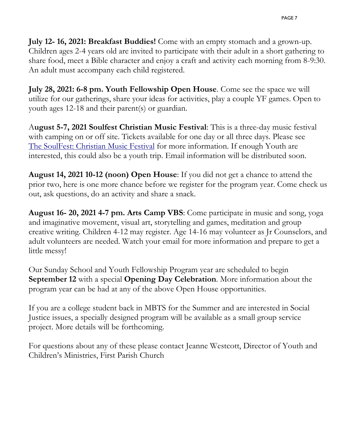**July 12- 16, 2021: Breakfast Buddies!** Come with an empty stomach and a grown-up. Children ages 2-4 years old are invited to participate with their adult in a short gathering to share food, meet a Bible character and enjoy a craft and activity each morning from 8-9:30. An adult must accompany each child registered.

**July 28, 2021: 6-8 pm. Youth Fellowship Open House**. Come see the space we will utilize for our gatherings, share your ideas for activities, play a couple YF games. Open to youth ages 12-18 and their parent(s) or guardian.

A**ugust 5-7, 2021 Soulfest Christian Music Festival**: This is a three-day music festival with camping on or off site. Tickets available for one day or all three days. Please see [The SoulFest: Christian Music Festival](https://www.thesoulfest.com/) for more information. If enough Youth are interested, this could also be a youth trip. Email information will be distributed soon.

**August 14, 2021 10-12 (noon) Open House**: If you did not get a chance to attend the prior two, here is one more chance before we register for the program year. Come check us out, ask questions, do an activity and share a snack.

**August 16- 20, 2021 4-7 pm. Arts Camp VBS**: Come participate in music and song, yoga and imaginative movement, visual art, storytelling and games, meditation and group creative writing. Children 4-12 may register. Age 14-16 may volunteer as Jr Counselors, and adult volunteers are needed. Watch your email for more information and prepare to get a little messy!

Our Sunday School and Youth Fellowship Program year are scheduled to begin **September 12** with a special **Opening Day Celebration**. More information about the program year can be had at any of the above Open House opportunities.

If you are a college student back in MBTS for the Summer and are interested in Social Justice issues, a specially designed program will be available as a small group service project. More details will be forthcoming.

For questions about any of these please contact Jeanne Westcott, Director of Youth and Children's Ministries, First Parish Church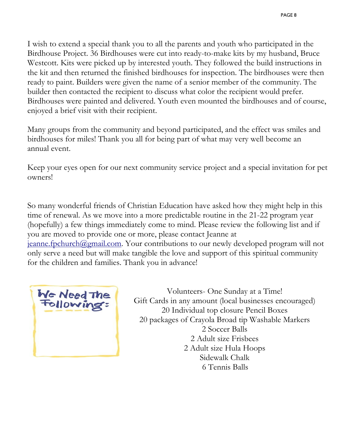I wish to extend a special thank you to all the parents and youth who participated in the Birdhouse Project. 36 Birdhouses were cut into ready-to-make kits by my husband, Bruce Westcott. Kits were picked up by interested youth. They followed the build instructions in the kit and then returned the finished birdhouses for inspection. The birdhouses were then ready to paint. Builders were given the name of a senior member of the community. The builder then contacted the recipient to discuss what color the recipient would prefer. Birdhouses were painted and delivered. Youth even mounted the birdhouses and of course, enjoyed a brief visit with their recipient.

Many groups from the community and beyond participated, and the effect was smiles and birdhouses for miles! Thank you all for being part of what may very well become an annual event.

Keep your eyes open for our next community service project and a special invitation for pet owners!

So many wonderful friends of Christian Education have asked how they might help in this time of renewal. As we move into a more predictable routine in the 21-22 program year (hopefully) a few things immediately come to mind. Please review the following list and if you are moved to provide one or more, please contact Jeanne at [jeanne.fpchurch@gmail.com.](mailto:jeanne.fpchurch@gmail.com) Your contributions to our newly developed program will not only serve a need but will make tangible the love and support of this spiritual community for the children and families. Thank you in advance!



Volunteers- One Sunday at a Time! Gift Cards in any amount (local businesses encouraged) 20 Individual top closure Pencil Boxes 20 packages of Crayola Broad tip Washable Markers 2 Soccer Balls 2 Adult size Frisbees 2 Adult size Hula Hoops Sidewalk Chalk 6 Tennis Balls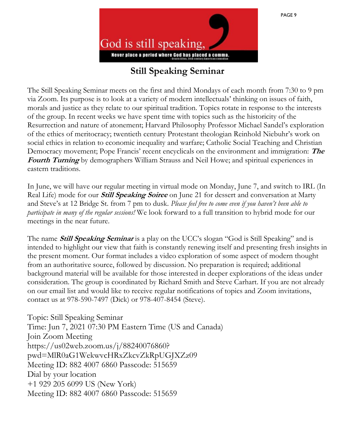### **Still Speaking Seminar**

The Still Speaking Seminar meets on the first and third Mondays of each month from 7:30 to 9 pm via Zoom. Its purpose is to look at a variety of modern intellectuals' thinking on issues of faith, morals and justice as they relate to our spiritual tradition. Topics rotate in response to the interests of the group. In recent weeks we have spent time with topics such as the historicity of the Resurrection and nature of atonement; Harvard Philosophy Professor Michael Sandel's exploration of the ethics of meritocracy; twentieth century Protestant theologian Reinhold Niebuhr's work on social ethics in relation to economic inequality and warfare; Catholic Social Teaching and Christian Democracy movement; Pope Francis' recent encyclicals on the environment and immigration: **The Fourth Turning** by demographers William Strauss and Neil Howe; and spiritual experiences in eastern traditions.

In June, we will have our regular meeting in virtual mode on Monday, June 7, and switch to IRL (In Real Life) mode for our **Still Speaking Soiree** on June 21 for dessert and conversation at Marty and Steve's at 12 Bridge St. from 7 pm to dusk. *Please feel free to come even if you haven't been able to participate in many of the regular sessions!* We look forward to a full transition to hybrid mode for our meetings in the near future.

The name **Still Speaking Seminar** is a play on the UCC's slogan "God is Still Speaking" and is intended to highlight our view that faith is constantly renewing itself and presenting fresh insights in the present moment. Our format includes a video exploration of some aspect of modern thought from an authoritative source, followed by discussion. No preparation is required; additional background material will be available for those interested in deeper explorations of the ideas under consideration. The group is coordinated by Richard Smith and Steve Carhart. If you are not already on our email list and would like to receive regular notifications of topics and Zoom invitations, contact us at 978-590-7497 (Dick) or 978-407-8454 (Steve).

Topic: Still Speaking Seminar Time: Jun 7, 2021 07:30 PM Eastern Time (US and Canada) Join Zoom Meeting https://us02web.zoom.us/j/88240076860? pwd=MlR0aG1WekwvcHRxZkcvZkRpUGJXZz09 Meeting ID: 882 4007 6860 Passcode: 515659 Dial by your location +1 929 205 6099 US (New York) Meeting ID: 882 4007 6860 Passcode: 515659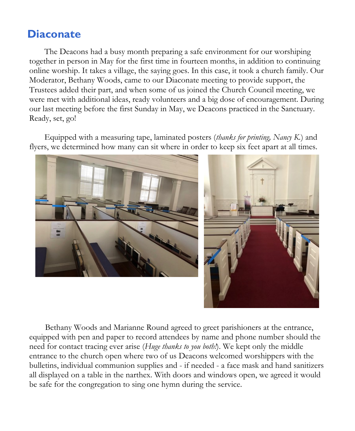### **Diaconate**

The Deacons had a busy month preparing a safe environment for our worshiping together in person in May for the first time in fourteen months, in addition to continuing online worship. It takes a village, the saying goes. In this case, it took a church family. Our Moderator, Bethany Woods, came to our Diaconate meeting to provide support, the Trustees added their part, and when some of us joined the Church Council meeting, we were met with additional ideas, ready volunteers and a big dose of encouragement. During our last meeting before the first Sunday in May, we Deacons practiced in the Sanctuary. Ready, set, go!

Equipped with a measuring tape, laminated posters (*thanks for printing, Nancy K.*) and flyers, we determined how many can sit where in order to keep six feet apart at all times.



Bethany Woods and Marianne Round agreed to greet parishioners at the entrance, equipped with pen and paper to record attendees by name and phone number should the need for contact tracing ever arise (*Huge thanks to you both!*). We kept only the middle entrance to the church open where two of us Deacons welcomed worshippers with the bulletins, individual communion supplies and - if needed - a face mask and hand sanitizers all displayed on a table in the narthex. With doors and windows open, we agreed it would be safe for the congregation to sing one hymn during the service.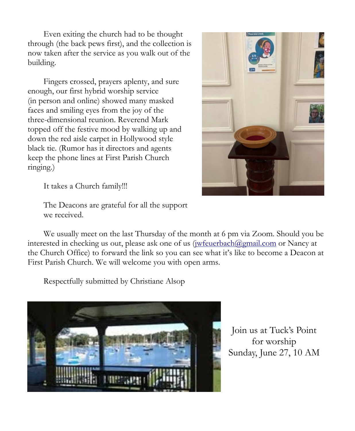Even exiting the church had to be thought through (the back pews first), and the collection is now taken after the service as you walk out of the building.

Fingers crossed, prayers aplenty, and sure enough, our first hybrid worship service (in person and online) showed many masked faces and smiling eyes from the joy of the three-dimensional reunion. Reverend Mark topped off the festive mood by walking up and down the red aisle carpet in Hollywood style black tie. (Rumor has it directors and agents keep the phone lines at First Parish Church ringing.)



It takes a Church family!!!

The Deacons are grateful for all the support we received.

We usually meet on the last Thursday of the month at 6 pm via Zoom. Should you be interested in checking us out, please ask one of us ([jwfeuerbach@gmail.com](mailto:jwfeuerbach@gmail.com) or Nancy at the Church Office) to forward the link so you can see what it's like to become a Deacon at First Parish Church. We will welcome you with open arms.

Respectfully submitted by Christiane Alsop



Join us at Tuck's Point for worship Sunday, June 27, 10 AM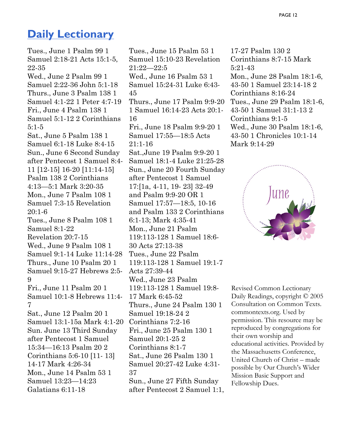### **[Daily Lectionary](http://macucc.s3.amazonaws.com/A27DD8B21BD74077B0FCD5D18E45503D_lectionary-jan11.pdf)**

Tues., June 1 Psalm 99 1 Samuel 2:18-21 Acts 15:1-5, 22-35 Wed., June 2 Psalm 99 1 Samuel 2:22-36 John 5:1-18 Thurs., June 3 Psalm 138 1 Samuel 4:1-22 1 Peter 4:7-19 Fri., June 4 Psalm 138 1 Samuel 5:1-12 2 Corinthians 5:1-5 Sat., June 5 Psalm 138 1 Samuel 6:1-18 Luke 8:4-15 Sun., June 6 Second Sunday after Pentecost 1 Samuel 8:4- 11 [12-15] 16-20 [11:14-15] Psalm 138 2 Corinthians 4:13—5:1 Mark 3:20-35 Mon., June 7 Psalm 108 1 Samuel 7:3-15 Revelation 20:1-6 Tues., June 8 Psalm 108 1 Samuel 8:1-22 Revelation 20:7-15 Wed., June 9 Psalm 108 1 Samuel 9:1-14 Luke 11:14-28 Thurs., June 10 Psalm 20 1 Samuel 9:15-27 Hebrews 2:5- 9 Fri., June 11 Psalm 20 1 Samuel 10:1-8 Hebrews 11:4- 7 Sat., June 12 Psalm 20 1 Samuel 13:1-15a Mark 4:1-20 Sun. June 13 Third Sunday after Pentecost 1 Samuel 15:34—16:13 Psalm 20 2 Corinthians 5:6-10 [11- 13] 14-17 Mark 4:26-34 Mon., June 14 Psalm 53 1 Samuel 13:23—14:23 Galatians 6:11-18

Tues., June 15 Psalm 53 1 Samuel 15:10-23 Revelation 21:22—22:5 Wed., June 16 Psalm 53 1 Samuel 15:24-31 Luke 6:43- 45 Thurs., June 17 Psalm 9:9-20 1 Samuel 16:14-23 Acts 20:1- 16 Fri., June 18 Psalm 9:9-20 1 Samuel 17:55—18:5 Acts  $21.1 - 16$ Sat.,June 19 Psalm 9:9-20 1 Samuel 18:1-4 Luke 21:25-28 Sun., June 20 Fourth Sunday after Pentecost 1 Samuel 17:[1a, 4-11, 19- 23] 32-49 and Psalm 9:9-20 OR 1 Samuel 17:57—18:5, 10-16 and Psalm 133 2 Corinthians 6:1-13; Mark 4:35-41 Mon., June 21 Psalm 119:113-128 1 Samuel 18:6- 30 Acts 27:13-38 Tues., June 22 Psalm 119:113-128 1 Samuel 19:1-7 Acts 27:39-44 Wed., June 23 Psalm 119:113-128 1 Samuel 19:8- 17 Mark 6:45-52 Thurs., June 24 Psalm 130 1 Samuel 19:18-24 2 Corinthians 7:2-16 Fri., June 25 Psalm 130 1 Samuel 20:1-25 2 Corinthians 8:1-7 Sat., June 26 Psalm 130 1 Samuel 20:27-42 Luke 4:31- 37 Sun., June 27 Fifth Sunday after Pentecost 2 Samuel 1:1,

17-27 Psalm 130 2 Corinthians 8:7-15 Mark 5:21-43 Mon., June 28 Psalm 18:1-6, 43-50 1 Samuel 23:14-18 2 Corinthians 8:16-24 Tues., June 29 Psalm 18:1-6, 43-50 1 Samuel 31:1-13 2 Corinthians 9:1-5 Wed., June 30 Psalm 18:1-6, 43-50 1 Chronicles 10:1-14 Mark 9:14-29



Revised Common Lectionary Daily Readings, copyright © 2005 Consultation on Common Texts. commontexts.org. Used by permission. This resource may be reproduced by congregations for their own worship and educational activities. Provided by the Massachusetts Conference, United Church of Christ – made possible by Our Church's Wider Mission Basic Support and Fellowship Dues.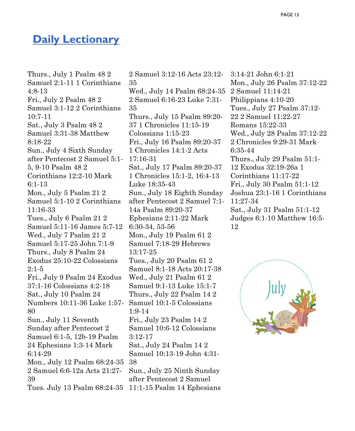### **[Daily Lectionary](http://macucc.s3.amazonaws.com/A27DD8B21BD74077B0FCD5D18E45503D_lectionary-jan11.pdf)**

Thurs., July 1 Psalm 48 2 Samuel 2:1-11 1 Corinthians 4:8-13 Fri., July 2 Psalm 48 2 Samuel 3:1-12 2 Corinthians 10:7-11 Sat., July 3 Psalm 48 2 Samuel 3:31-38 Matthew 8:18-22 Sun., July 4 Sixth Sunday after Pentecost 2 Samuel 5:1- 5, 9-10 Psalm 48 2 Corinthians 12:2-10 Mark 6:1-13 Mon., July 5 Psalm 21 2 Samuel 5:1-10 2 Corinthians 11:16-33 Tues., July 6 Psalm 21 2 Samuel 5:11-16 James 5:7-12 Wed., July 7 Psalm 21 2 Samuel 5:17-25 John 7:1-9 Thurs., July 8 Psalm 24 Exodus 25:10-22 Colossians 2:1-5 Fri., July 9 Psalm 24 Exodus 37:1-16 Colossians 4:2-18 Sat., July 10 Psalm 24 Numbers 10:11-36 Luke 1:57- Samuel 10:1-5 Colossians 80 Sun., July 11 Seventh Sunday after Pentecost 2 Samuel 6:1-5, 12b-19 Psalm 24 Ephesians 1:3-14 Mark 6:14-29 Mon., July 12 Psalm 68:24-35 2 Samuel 6:6-12a Acts 21:27- 39 Tues. July 13 Psalm 68:24-35 11:1-15 Psalm 14 Ephesians

2 Samuel 3:12-16 Acts 23:12- 35 Wed., July 14 Psalm 68:24-35 2 Samuel 6:16-23 Luke 7:31- 35 Thurs., July 15 Psalm 89:20- 37 1 Chronicles 11:15-19 Colossians 1:15-23 Fri., July 16 Psalm 89:20-37 1 Chronicles 14:1-2 Acts 17:16-31 Sat., July 17 Psalm 89:20-37 1 Chronicles 15:1-2, 16:4-13 Luke 18:35-43 Sun., July 18 Eighth Sunday after Pentecost 2 Samuel 7:1- 14a Psalm 89:20-37 Ephesians 2:11-22 Mark 6:30-34, 53-56 Mon., July 19 Psalm 61 2 Samuel 7:18-29 Hebrews 13:17-25 Tues., July 20 Psalm 61 2 Samuel 8:1-18 Acts 20:17-38 Wed., July 21 Psalm 61 2 Samuel 9:1-13 Luke 15:1-7 Thurs., July 22 Psalm 14 2 1:9-14 Fri., July 23 Psalm 14 2 Samuel 10:6-12 Colossians 3:12-17 Sat., July 24 Psalm 14 2 Samuel 10:13-19 John 4:31- 38 Sun., July 25 Ninth Sunday after Pentecost 2 Samuel

3:14-21 John 6:1-21 Mon., July 26 Psalm 37:12-22 2 Samuel 11:14-21 Philippians 4:10-20 Tues., July 27 Psalm 37:12- 22 2 Samuel 11:22-27 Romans 15:22-33 Wed., July 28 Psalm 37:12-22 2 Chronicles 9:29-31 Mark 6:35-44 Thurs., July 29 Psalm 51:1- 12 Exodus 32:19-26a 1 Corinthians 11:17-22 Fri., July 30 Psalm 51:1-12 Joshua 23:1-16 1 Corinthians 11:27-34 Sat., July 31 Psalm 51:1-12 Judges 6:1-10 Matthew 16:5- 12

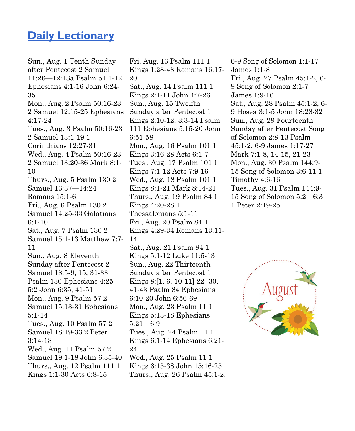### **[Daily Lectionary](http://macucc.s3.amazonaws.com/A27DD8B21BD74077B0FCD5D18E45503D_lectionary-jan11.pdf)**

Sun., Aug. 1 Tenth Sunday after Pentecost 2 Samuel 11:26—12:13a Psalm 51:1-12 Ephesians 4:1-16 John 6:24- 35 Mon., Aug. 2 Psalm 50:16-23 2 Samuel 12:15-25 Ephesians 4:17-24 Tues., Aug. 3 Psalm 50:16-23 2 Samuel 13:1-19 1 Corinthians 12:27-31 Wed., Aug. 4 Psalm 50:16-23 2 Samuel 13:20-36 Mark 8:1- 10 Thurs., Aug. 5 Psalm 130 2 Samuel 13:37—14:24 Romans 15:1-6 Fri., Aug. 6 Psalm 130 2 Samuel 14:25-33 Galatians 6:1-10 Sat., Aug. 7 Psalm 130 2 Samuel 15:1-13 Matthew 7:7- 11 Sun., Aug. 8 Eleventh Sunday after Pentecost 2 Samuel 18:5-9, 15, 31-33 Psalm 130 Ephesians 4:25- 5:2 John 6:35, 41-51 Mon., Aug. 9 Psalm 57 2 Samuel 15:13-31 Ephesians 5:1-14 Tues., Aug. 10 Psalm 57 2 Samuel 18:19-33 2 Peter 3:14-18 Wed., Aug. 11 Psalm 57 2 Samuel 19:1-18 John 6:35-40 Thurs., Aug. 12 Psalm 111 1 Kings 1:1-30 Acts 6:8-15

Fri. Aug. 13 Psalm 111 1 Kings 1:28-48 Romans 16:17- 20 Sat., Aug. 14 Psalm 111 1 Kings 2:1-11 John 4:7-26 Sun., Aug. 15 Twelfth Sunday after Pentecost 1 Kings 2:10-12; 3:3-14 Psalm 111 Ephesians 5:15-20 John 6:51-58 Mon., Aug. 16 Psalm 101 1 Kings 3:16-28 Acts 6:1-7 Tues., Aug. 17 Psalm 101 1 Kings 7:1-12 Acts 7:9-16 Wed., Aug. 18 Psalm 101 1 Kings 8:1-21 Mark 8:14-21 Thurs., Aug. 19 Psalm 84 1 Kings 4:20-28 1 Thessalonians 5:1-11 Fri., Aug. 20 Psalm 84 1 Kings 4:29-34 Romans 13:11- 14 Sat., Aug. 21 Psalm 84 1 Kings 5:1-12 Luke 11:5-13 Sun., Aug. 22 Thirteenth Sunday after Pentecost 1 Kings 8:[1, 6, 10-11] 22- 30, 41-43 Psalm 84 Ephesians 6:10-20 John 6:56-69 Mon., Aug. 23 Psalm 11 1

Kings 5:13-18 Ephesians 5:21—6:9 Tues., Aug. 24 Psalm 11 1 Kings 6:1-14 Ephesians 6:21- 24

Wed., Aug. 25 Psalm 11 1 Kings 6:15-38 John 15:16-25 Thurs., Aug. 26 Psalm 45:1-2, 6-9 Song of Solomon 1:1-17 James 1:1-8 Fri., Aug. 27 Psalm 45:1-2, 6- 9 Song of Solomon 2:1-7 James 1:9-16 Sat., Aug. 28 Psalm 45:1-2, 6- 9 Hosea 3:1-5 John 18:28-32 Sun., Aug. 29 Fourteenth Sunday after Pentecost Song of Solomon 2:8-13 Psalm 45:1-2, 6-9 James 1:17-27 Mark 7:1-8, 14-15, 21-23 Mon., Aug. 30 Psalm 144:9- 15 Song of Solomon 3:6-11 1 Timothy 4:6-16 Tues., Aug. 31 Psalm 144:9- 15 Song of Solomon 5:2—6:3 1 Peter 2:19-25

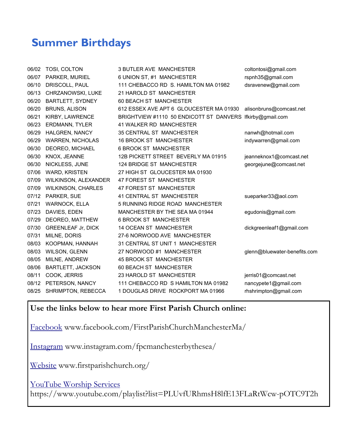## **Summer Birthdays**

| 06/02 | TOSI, COLTON              | <b>3 BUTLER AVE MANCHESTER</b>                            | coltontosi@gmail.com         |
|-------|---------------------------|-----------------------------------------------------------|------------------------------|
| 06/07 | PARKER, MURIEL            | 6 UNION ST, #1 MANCHESTER                                 | rspnh35@gmail.com            |
| 06/10 | DRISCOLL, PAUL            | 111 CHEBACCO RD S. HAMILTON MA 01982                      | dsravenew@gmail.com          |
| 06/13 | CHRZANOWSKI, LUKE         | 21 HAROLD ST MANCHESTER                                   |                              |
| 06/20 | <b>BARTLETT, SYDNEY</b>   | 60 BEACH ST MANCHESTER                                    |                              |
| 06/20 | <b>BRUNS, ALISON</b>      | 612 ESSEX AVE APT 6 GLOUCESTER MA 01930                   | alisonbruns@comcast.net      |
| 06/21 | KIRBY, LAWRENCE           | BRIGHTVIEW #1110 50 ENDICOTT ST DANVERS Ifkirby@gmail.com |                              |
| 06/23 | <b>ERDMANN, TYLER</b>     | 41 WALKER RD MANCHESTER                                   |                              |
| 06/29 | HALGREN, NANCY            | <b>35 CENTRAL ST MANCHESTER</b>                           | nanwh@hotmail.com            |
| 06/29 | <b>WARREN, NICHOLAS</b>   | <b>16 BROOK ST MANCHESTER</b>                             | indywarren@gmail.com         |
| 06/30 | DEOREO, MICHAEL           | <b>6 BROOK ST MANCHESTER</b>                              |                              |
| 06/30 | KNOX, JEANNE              | 12B PICKETT STREET BEVERLY MA 01915                       | jeanneknox1@comcast.net      |
| 06/30 | NICKLESS, JUNE            | <b>124 BRIDGE ST MANCHESTER</b>                           | georgejune@comcast.net       |
| 07/06 | <b>WARD, KRISTEN</b>      | 27 HIGH ST GLOUCESTER MA 01930                            |                              |
| 07/09 | WILKINSON, ALEXANDER      | 47 FOREST ST MANCHESTER                                   |                              |
| 07/09 | <b>WILKINSON, CHARLES</b> | 47 FOREST ST MANCHESTER                                   |                              |
| 07/12 | PARKER, SUE               | 41 CENTRAL ST MANCHESTER                                  | sueparker33@aol.com          |
| 07/21 | WARNOCK, ELLA             | 5 RUNNING RIDGE ROAD MANCHESTER                           |                              |
| 07/23 | DAVIES, EDEN              | MANCHESTER BY THE SEA MA 01944                            | egudonis@gmail.com           |
| 07/29 | DEOREO, MATTHEW           | <b>6 BROOK ST MANCHESTER</b>                              |                              |
| 07/30 | <b>GREENLEAF Jr, DICK</b> | <b>14 OCEAN ST MANCHESTER</b>                             | dickgreenleaf1@gmail.com     |
| 07/31 | MILNE, DORIS              | 27-6 NORWOOD AVE MANCHESTER                               |                              |
| 08/03 | KOOPMAN, HANNAH           | 31 CENTRAL ST UNIT 1 MANCHESTER                           |                              |
| 08/03 | <b>WILSON, GLENN</b>      | 27 NORWOOD #1 MANCHESTER                                  | glenn@bluewater-benefits.com |
| 08/05 | MILNE, ANDREW             | <b>45 BROOK ST MANCHESTER</b>                             |                              |
| 08/06 | <b>BARTLETT, JACKSON</b>  | 60 BEACH ST MANCHESTER                                    |                              |
| 08/11 | COOK, JERRIS              | 23 HAROLD ST MANCHESTER                                   | jerris01@comcast.net         |
| 08/12 | PETERSON, NANCY           | 111 CHEBACCO RD S HAMILTON MA 01982                       | nancypete1@gmail.com         |
| 08/25 | SHRIMPTON, REBECCA        | 1 DOUGLAS DRIVE ROCKPORT MA 01966                         | rhshrimpton@gmail.com        |
|       |                           |                                                           |                              |

#### **Use the links below to hear more First Parish Church online:**

[Facebook](https://www.facebook.com/FirstParishChurchManchesterMa/) www.facebook.com/FirstParishChurchManchesterMa/

[Instagram](https://www.instagram.com/fpcmanchesterbythesea/) www.instagram.com/fpcmanchesterbythesea/

[Website](http://www.firstparishchurch.org/) www.firstparishchurch.org/

[YouTube Worship Services](https://www.youtube.com/playlist?list=PLUvfURhmsH8lfE13FLaRtWcw-pOTC9T2h)

https://www.youtube.com/playlist?list=PLUvfURhmsH8lfE13FLaRtWcw-pOTC9T2h